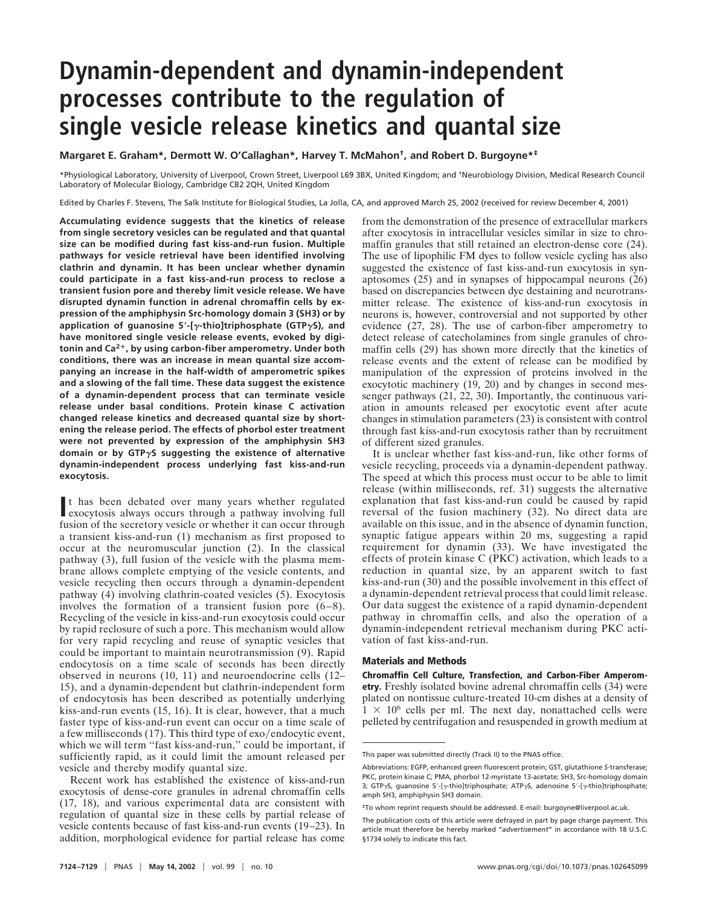## **Dynamin-dependent and dynamin-independent processes contribute to the regulation of single vesicle release kinetics and quantal size**

**Margaret E. Graham\*, Dermott W. O'Callaghan\*, Harvey T. McMahon†, and Robert D. Burgoyne\*‡**

\*Physiological Laboratory, University of Liverpool, Crown Street, Liverpool L69 3BX, United Kingdom; and †Neurobiology Division, Medical Research Council Laboratory of Molecular Biology, Cambridge CB2 2QH, United Kingdom

Edited by Charles F. Stevens, The Salk Institute for Biological Studies, La Jolla, CA, and approved March 25, 2002 (received for review December 4, 2001)

**Accumulating evidence suggests that the kinetics of release from single secretory vesicles can be regulated and that quantal size can be modified during fast kiss-and-run fusion. Multiple pathways for vesicle retrieval have been identified involving clathrin and dynamin. It has been unclear whether dynamin could participate in a fast kiss-and-run process to reclose a transient fusion pore and thereby limit vesicle release. We have disrupted dynamin function in adrenal chromaffin cells by expression of the amphiphysin Src-homology domain 3 (SH3) or by application of guanosine 5**\***-[**g**-thio]triphosphate (GTP**g**S), and have monitored single vesicle release events, evoked by digitonin and Ca2**1**, by using carbon-fiber amperometry. Under both conditions, there was an increase in mean quantal size accompanying an increase in the half-width of amperometric spikes and a slowing of the fall time. These data suggest the existence of a dynamin-dependent process that can terminate vesicle release under basal conditions. Protein kinase C activation changed release kinetics and decreased quantal size by shortening the release period. The effects of phorbol ester treatment were not prevented by expression of the amphiphysin SH3 domain or by GTP**g**S suggesting the existence of alternative dynamin-independent process underlying fast kiss-and-run exocytosis.**

It has been debated over many years whether regulated exocytosis always occurs through a pathway involving full t has been debated over many years whether regulated fusion of the secretory vesicle or whether it can occur through a transient kiss-and-run (1) mechanism as first proposed to occur at the neuromuscular junction (2). In the classical pathway (3), full fusion of the vesicle with the plasma membrane allows complete emptying of the vesicle contents, and vesicle recycling then occurs through a dynamin-dependent pathway (4) involving clathrin-coated vesicles (5). Exocytosis involves the formation of a transient fusion pore (6–8). Recycling of the vesicle in kiss-and-run exocytosis could occur by rapid reclosure of such a pore. This mechanism would allow for very rapid recycling and reuse of synaptic vesicles that could be important to maintain neurotransmission (9). Rapid endocytosis on a time scale of seconds has been directly observed in neurons (10, 11) and neuroendocrine cells (12– 15), and a dynamin-dependent but clathrin-independent form of endocytosis has been described as potentially underlying kiss-and-run events (15, 16). It is clear, however, that a much faster type of kiss-and-run event can occur on a time scale of a few milliseconds  $(17)$ . This third type of exo/endocytic event, which we will term "fast kiss-and-run," could be important, if sufficiently rapid, as it could limit the amount released per vesicle and thereby modify quantal size.

Recent work has established the existence of kiss-and-run exocytosis of dense-core granules in adrenal chromaffin cells (17, 18), and various experimental data are consistent with regulation of quantal size in these cells by partial release of vesicle contents because of fast kiss-and-run events (19–23). In addition, morphological evidence for partial release has come

from the demonstration of the presence of extracellular markers after exocytosis in intracellular vesicles similar in size to chromaffin granules that still retained an electron-dense core (24). The use of lipophilic FM dyes to follow vesicle cycling has also suggested the existence of fast kiss-and-run exocytosis in synaptosomes (25) and in synapses of hippocampal neurons (26) based on discrepancies between dye destaining and neurotransmitter release. The existence of kiss-and-run exocytosis in neurons is, however, controversial and not supported by other evidence (27, 28). The use of carbon-fiber amperometry to detect release of catecholamines from single granules of chromaffin cells (29) has shown more directly that the kinetics of release events and the extent of release can be modified by manipulation of the expression of proteins involved in the exocytotic machinery  $(19, 20)$  and by changes in second messenger pathways (21, 22, 30). Importantly, the continuous variation in amounts released per exocytotic event after acute changes in stimulation parameters (23) is consistent with control through fast kiss-and-run exocytosis rather than by recruitment of different sized granules.

It is unclear whether fast kiss-and-run, like other forms of vesicle recycling, proceeds via a dynamin-dependent pathway. The speed at which this process must occur to be able to limit release (within milliseconds, ref. 31) suggests the alternative explanation that fast kiss-and-run could be caused by rapid reversal of the fusion machinery (32). No direct data are available on this issue, and in the absence of dynamin function, synaptic fatigue appears within 20 ms, suggesting a rapid requirement for dynamin (33). We have investigated the effects of protein kinase C (PKC) activation, which leads to a reduction in quantal size, by an apparent switch to fast kiss-and-run (30) and the possible involvement in this effect of a dynamin-dependent retrieval process that could limit release. Our data suggest the existence of a rapid dynamin-dependent pathway in chromaffin cells, and also the operation of a dynamin-independent retrieval mechanism during PKC activation of fast kiss-and-run.

## **Materials and Methods**

**Chromaffin Cell Culture, Transfection, and Carbon-Fiber Amperometry.** Freshly isolated bovine adrenal chromaffin cells (34) were plated on nontissue culture-treated 10-cm dishes at a density of  $1 \times 10^6$  cells per ml. The next day, nonattached cells were pelleted by centrifugation and resuspended in growth medium at

This paper was submitted directly (Track II) to the PNAS office.

Abbreviations: EGFP, enhanced green fluorescent protein; GST, glutathione *S*-transferase; PKC, protein kinase C; PMA, phorbol 12-myristate 13-acetate; SH3, Src-homology domain 3; GTP<sub>yS</sub>, quanosine 5'-[y-thio]triphosphate; ATP<sub>yS</sub>, adenosine 5'-[y-thio]triphosphate; amph SH3, amphiphysin SH3 domain.

<sup>‡</sup>To whom reprint requests should be addressed. E-mail: burgoyne@liverpool.ac.uk.

The publication costs of this article were defrayed in part by page charge payment. This article must therefore be hereby marked "*advertisement*" in accordance with 18 U.S.C. §1734 solely to indicate this fact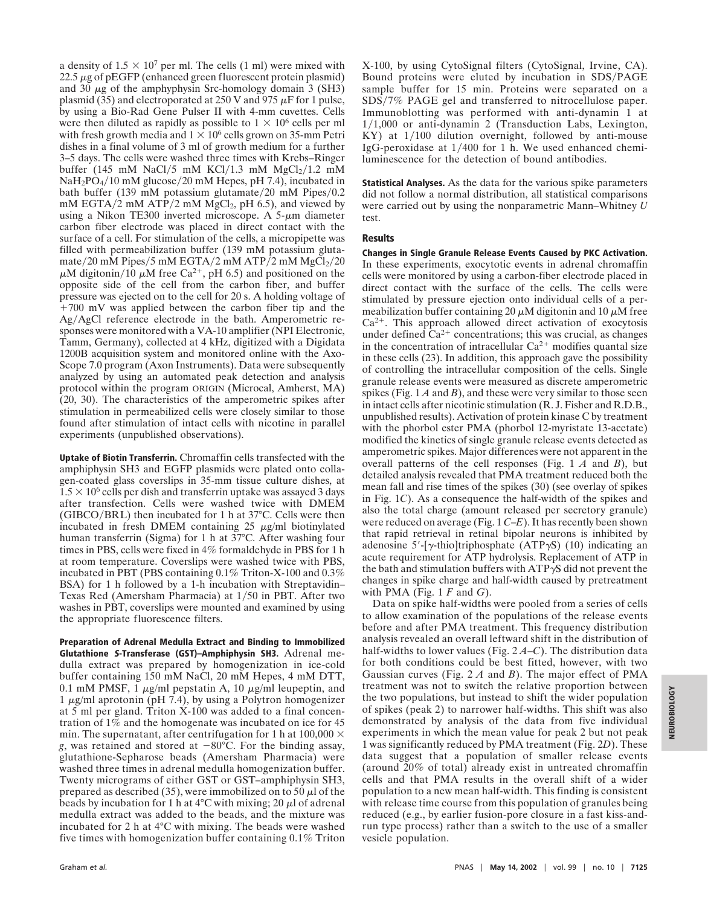a density of  $1.5 \times 10^7$  per ml. The cells (1 ml) were mixed with  $22.5 \mu$ g of pEGFP (enhanced green fluorescent protein plasmid) and 30  $\mu$ g of the amphyphysin Src-homology domain 3 (SH3) plasmid (35) and electroporated at 250 V and 975  $\mu$ F for 1 pulse, by using a Bio-Rad Gene Pulser II with 4-mm cuvettes. Cells were then diluted as rapidly as possible to  $1 \times 10^6$  cells per ml with fresh growth media and  $1 \times 10^6$  cells grown on 35-mm Petri dishes in a final volume of 3 ml of growth medium for a further 3–5 days. The cells were washed three times with Krebs–Ringer buffer (145 mM NaCl/5 mM KCl/1.3 mM  $MgCl<sub>2</sub>/1.2$  mM NaH<sub>2</sub>PO<sub>4</sub>/10 mM glucose/20 mM Hepes, pH 7.4), incubated in bath buffer (139 mM potassium glutamate/20 mM Pipes/0.2 mM EGTA/ $\hat{2}$  mM ATP/2 mM MgCl<sub>2</sub>, pH 6.5), and viewed by using a Nikon TE300 inverted microscope. A  $5-\mu m$  diameter carbon fiber electrode was placed in direct contact with the surface of a cell. For stimulation of the cells, a micropipette was filled with permeabilization buffer (139 mM potassium glutamate/20 mM Pipes/5 mM EGTA/2 mM ATP/2 mM  $MgCl<sub>2</sub>/20$  $\mu$ M digitonin/10  $\mu$ M free Ca<sup>2+</sup>, pH 6.5) and positioned on the opposite side of the cell from the carbon fiber, and buffer pressure was ejected on to the cell for 20 s. A holding voltage of  $+700$  mV was applied between the carbon fiber tip and the Ag/AgCl reference electrode in the bath. Amperometric responses were monitored with a VA-10 amplifier (NPI Electronic, Tamm, Germany), collected at 4 kHz, digitized with a Digidata 1200B acquisition system and monitored online with the Axo-Scope 7.0 program (Axon Instruments). Data were subsequently analyzed by using an automated peak detection and analysis protocol within the program ORIGIN (Microcal, Amherst, MA) (20, 30). The characteristics of the amperometric spikes after stimulation in permeabilized cells were closely similar to those found after stimulation of intact cells with nicotine in parallel experiments (unpublished observations).

**Uptake of Biotin Transferrin.** Chromaffin cells transfected with the amphiphysin SH3 and EGFP plasmids were plated onto collagen-coated glass coverslips in 35-mm tissue culture dishes, at  $1.5 \times 10^6$  cells per dish and transferrin uptake was assayed 3 days after transfection. Cells were washed twice with DMEM (GIBCO/BRL) then incubated for 1 h at  $37^{\circ}$ C. Cells were then incubated in fresh DMEM containing  $25 \mu g/ml$  biotinylated human transferrin (Sigma) for 1 h at 37°C. After washing four times in PBS, cells were fixed in 4% formaldehyde in PBS for 1 h at room temperature. Coverslips were washed twice with PBS, incubated in PBT (PBS containing 0.1% Triton-X-100 and 0.3% BSA) for 1 h followed by a 1-h incubation with Streptavidin– Texas Red (Amersham Pharmacia) at  $1/50$  in PBT. After two washes in PBT, coverslips were mounted and examined by using the appropriate fluorescence filters.

**Preparation of Adrenal Medulla Extract and Binding to Immobilized Glutathione <sup>S</sup>-Transferase (GST)–Amphiphysin SH3.** Adrenal medulla extract was prepared by homogenization in ice-cold buffer containing 150 mM NaCl, 20 mM Hepes, 4 mM DTT, 0.1 mM PMSF, 1  $\mu$ g/ml pepstatin A, 10  $\mu$ g/ml leupeptin, and 1  $\mu$ g/ml aprotonin (pH 7.4), by using a Polytron homogenizer at 5 ml per gland. Triton X-100 was added to a final concentration of 1% and the homogenate was incubated on ice for 45 min. The supernatant, after centrifugation for 1 h at  $100,000 \times$ *g*, was retained and stored at  $-80^{\circ}\text{C}$ . For the binding assay, glutathione-Sepharose beads (Amersham Pharmacia) were washed three times in adrenal medulla homogenization buffer. Twenty micrograms of either GST or GST–amphiphysin SH3, prepared as described (35), were immobilized on to 50  $\mu$ l of the beads by incubation for 1 h at  $4^{\circ}$ C with mixing; 20  $\mu$ l of adrenal medulla extract was added to the beads, and the mixture was incubated for 2 h at 4°C with mixing. The beads were washed five times with homogenization buffer containing 0.1% Triton

X-100, by using CytoSignal filters (CytoSignal, Irvine, CA). Bound proteins were eluted by incubation in SDS/PAGE sample buffer for 15 min. Proteins were separated on a SDS/7% PAGE gel and transferred to nitrocellulose paper. Immunoblotting was performed with anti-dynamin 1 at  $1/1,000$  or anti-dynamin 2 (Transduction Labs, Lexington, KY) at  $1/100$  dilution overnight, followed by anti-mouse IgG-peroxidase at  $1/400$  for 1 h. We used enhanced chemiluminescence for the detection of bound antibodies.

**Statistical Analyses.** As the data for the various spike parameters did not follow a normal distribution, all statistical comparisons were carried out by using the nonparametric Mann–Whitney *U* test.

## **Results**

**Changes in Single Granule Release Events Caused by PKC Activation.** In these experiments, exocytotic events in adrenal chromaffin cells were monitored by using a carbon-fiber electrode placed in direct contact with the surface of the cells. The cells were stimulated by pressure ejection onto individual cells of a permeabilization buffer containing 20  $\mu$ M digitonin and 10  $\mu$ M free  $Ca<sup>2+</sup>$ . This approach allowed direct activation of exocytosis under defined  $Ca^{2+}$  concentrations; this was crucial, as changes in the concentration of intracellular  $Ca^{2+}$  modifies quantal size in these cells (23). In addition, this approach gave the possibility of controlling the intracellular composition of the cells. Single granule release events were measured as discrete amperometric spikes (Fig. 1 *A* and *B*), and these were very similar to those seen in intact cells after nicotinic stimulation (R. J. Fisher and R.D.B., unpublished results). Activation of protein kinase C by treatment with the phorbol ester PMA (phorbol 12-myristate 13-acetate) modified the kinetics of single granule release events detected as amperometric spikes. Major differences were not apparent in the overall patterns of the cell responses (Fig. 1 *A* and *B*), but detailed analysis revealed that PMA treatment reduced both the mean fall and rise times of the spikes (30) (see overlay of spikes in Fig. 1*C*). As a consequence the half-width of the spikes and also the total charge (amount released per secretory granule) were reduced on average (Fig. 1 *C*–*E*). It has recently been shown that rapid retrieval in retinal bipolar neurons is inhibited by adenosine 5'-[ $\gamma$ -thio]triphosphate (ATP $\gamma$ S) (10) indicating an acute requirement for ATP hydrolysis. Replacement of ATP in the bath and stimulation buffers with  $ATP\gamma S$  did not prevent the changes in spike charge and half-width caused by pretreatment with PMA (Fig.  $1 F$  and  $G$ ).

Data on spike half-widths were pooled from a series of cells to allow examination of the populations of the release events before and after PMA treatment. This frequency distribution analysis revealed an overall leftward shift in the distribution of half-widths to lower values (Fig. 2 *A*–*C*). The distribution data for both conditions could be best fitted, however, with two Gaussian curves (Fig. 2 *A* and *B*). The major effect of PMA treatment was not to switch the relative proportion between the two populations, but instead to shift the wider population of spikes (peak 2) to narrower half-widths. This shift was also demonstrated by analysis of the data from five individual experiments in which the mean value for peak 2 but not peak 1 was significantly reduced by PMA treatment (Fig. 2*D*). These data suggest that a population of smaller release events (around 20% of total) already exist in untreated chromaffin cells and that PMA results in the overall shift of a wider population to a new mean half-width. This finding is consistent with release time course from this population of granules being reduced (e.g., by earlier fusion-pore closure in a fast kiss-andrun type process) rather than a switch to the use of a smaller vesicle population.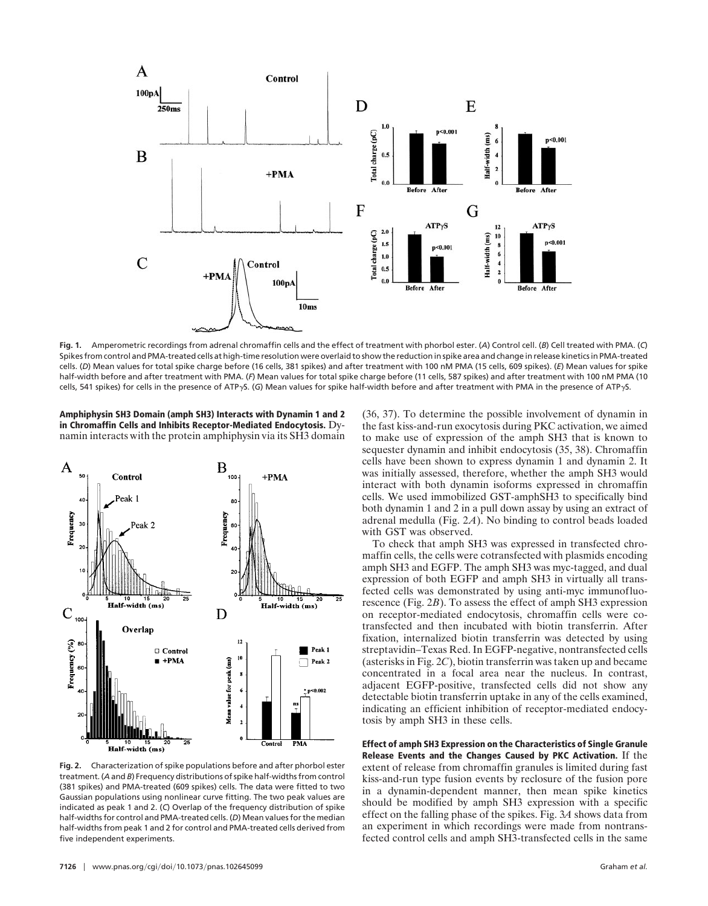

**Fig. 1.** Amperometric recordings from adrenal chromaffin cells and the effect of treatment with phorbol ester. (*A*) Control cell. (*B*) Cell treated with PMA. (*C*) Spikes from control and PMA-treated cells at high-time resolution were overlaid to show the reduction in spike area and change in release kinetics in PMA-treated cells. (*D*) Mean values for total spike charge before (16 cells, 381 spikes) and after treatment with 100 nM PMA (15 cells, 609 spikes). (*E*) Mean values for spike half-width before and after treatment with PMA. (*F*) Mean values for total spike charge before (11 cells, 587 spikes) and after treatment with 100 nM PMA (10 cells, 541 spikes) for cells in the presence of ATP<sub>Y</sub>S. (G) Mean values for spike half-width before and after treatment with PMA in the presence of ATP<sub>Y</sub>S.

**Amphiphysin SH3 Domain (amph SH3) Interacts with Dynamin 1 and 2 in Chromaffin Cells and Inhibits Receptor-Mediated Endocytosis.** Dynamin interacts with the protein amphiphysin via its SH3 domain



**Fig. 2.** Characterization of spike populations before and after phorbol ester treatment. (*A* and *B*) Frequency distributions of spike half-widths from control (381 spikes) and PMA-treated (609 spikes) cells. The data were fitted to two Gaussian populations using nonlinear curve fitting. The two peak values are indicated as peak 1 and 2. (*C*) Overlap of the frequency distribution of spike half-widths for control and PMA-treated cells. (*D*) Mean values for the median half-widths from peak 1 and 2 for control and PMA-treated cells derived from five independent experiments.

**7126** www.pnas.org/cgi/doi/10.1073/pnas.102645099 Graham *et al.* 

(36, 37). To determine the possible involvement of dynamin in the fast kiss-and-run exocytosis during PKC activation, we aimed to make use of expression of the amph SH3 that is known to sequester dynamin and inhibit endocytosis (35, 38). Chromaffin cells have been shown to express dynamin 1 and dynamin 2. It was initially assessed, therefore, whether the amph SH3 would interact with both dynamin isoforms expressed in chromaffin cells. We used immobilized GST-amphSH3 to specifically bind both dynamin 1 and 2 in a pull down assay by using an extract of adrenal medulla (Fig. 2*A*). No binding to control beads loaded with GST was observed.

To check that amph SH3 was expressed in transfected chromaffin cells, the cells were cotransfected with plasmids encoding amph SH3 and EGFP. The amph SH3 was myc-tagged, and dual expression of both EGFP and amph SH3 in virtually all transfected cells was demonstrated by using anti-myc immunofluorescence (Fig. 2*B*). To assess the effect of amph SH3 expression on receptor-mediated endocytosis, chromaffin cells were cotransfected and then incubated with biotin transferrin. After fixation, internalized biotin transferrin was detected by using streptavidin–Texas Red. In EGFP-negative, nontransfected cells (asterisks in Fig. 2*C*), biotin transferrin was taken up and became concentrated in a focal area near the nucleus. In contrast, adjacent EGFP-positive, transfected cells did not show any detectable biotin transferrin uptake in any of the cells examined, indicating an efficient inhibition of receptor-mediated endocytosis by amph SH3 in these cells.

**Effect of amph SH3 Expression on the Characteristics of Single Granule Release Events and the Changes Caused by PKC Activation.** If the extent of release from chromaffin granules is limited during fast kiss-and-run type fusion events by reclosure of the fusion pore in a dynamin-dependent manner, then mean spike kinetics should be modified by amph SH3 expression with a specific effect on the falling phase of the spikes. Fig. 3*A* shows data from an experiment in which recordings were made from nontransfected control cells and amph SH3-transfected cells in the same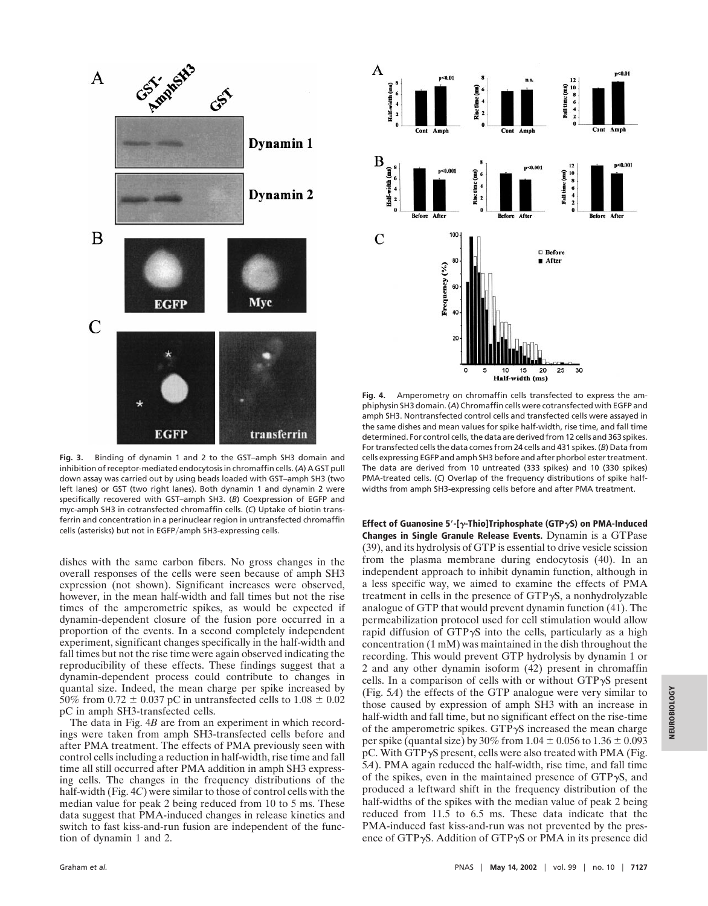

**Fig. 3.** Binding of dynamin 1 and 2 to the GST–amph SH3 domain and inhibition of receptor-mediated endocytosis in chromaffin cells. (*A*) A GST pull down assay was carried out by using beads loaded with GST–amph SH3 (two left lanes) or GST (two right lanes). Both dynamin 1 and dynamin 2 were specifically recovered with GST–amph SH3. (*B*) Coexpression of EGFP and myc-amph SH3 in cotransfected chromaffin cells. (*C*) Uptake of biotin transferrin and concentration in a perinuclear region in untransfected chromaffin cells (asterisks) but not in EGFP/amph SH3-expressing cells.

dishes with the same carbon fibers. No gross changes in the overall responses of the cells were seen because of amph SH3 expression (not shown). Significant increases were observed, however, in the mean half-width and fall times but not the rise times of the amperometric spikes, as would be expected if dynamin-dependent closure of the fusion pore occurred in a proportion of the events. In a second completely independent experiment, significant changes specifically in the half-width and fall times but not the rise time were again observed indicating the reproducibility of these effects. These findings suggest that a dynamin-dependent process could contribute to changes in quantal size. Indeed, the mean charge per spike increased by 50% from 0.72  $\pm$  0.037 pC in untransfected cells to 1.08  $\pm$  0.02 pC in amph SH3-transfected cells.

The data in Fig. 4*B* are from an experiment in which recordings were taken from amph SH3-transfected cells before and after PMA treatment. The effects of PMA previously seen with control cells including a reduction in half-width, rise time and fall time all still occurred after PMA addition in amph SH3 expressing cells. The changes in the frequency distributions of the half-width (Fig. 4*C*) were similar to those of control cells with the median value for peak 2 being reduced from 10 to 5 ms. These data suggest that PMA-induced changes in release kinetics and switch to fast kiss-and-run fusion are independent of the function of dynamin 1 and 2.



**Fig. 4.** Amperometry on chromaffin cells transfected to express the amphiphysin SH3 domain. (*A*) Chromaffin cells were cotransfected with EGFP and amph SH3. Nontransfected control cells and transfected cells were assayed in the same dishes and mean values for spike half-width, rise time, and fall time determined. For control cells, the data are derived from 12 cells and 363 spikes. For transfected cells the data comes from 24 cells and 431 spikes. (*B*) Data from cells expressing EGFP and amph SH3 before and after phorbol ester treatment. The data are derived from 10 untreated (333 spikes) and 10 (330 spikes) PMA-treated cells. (*C*) Overlap of the frequency distributions of spike halfwidths from amph SH3-expressing cells before and after PMA treatment.

**Effect of Guanosine 5**\***-[**g**-Thio]Triphosphate (GTP**g**S) on PMA-Induced Changes in Single Granule Release Events.** Dynamin is a GTPase (39), and its hydrolysis of GTP is essential to drive vesicle scission from the plasma membrane during endocytosis (40). In an independent approach to inhibit dynamin function, although in a less specific way, we aimed to examine the effects of PMA treatment in cells in the presence of  $GTP\gamma S$ , a nonhydrolyzable analogue of GTP that would prevent dynamin function (41). The permeabilization protocol used for cell stimulation would allow rapid diffusion of  $GTP\gamma S$  into the cells, particularly as a high concentration (1 mM) was maintained in the dish throughout the recording. This would prevent GTP hydrolysis by dynamin 1 or 2 and any other dynamin isoform (42) present in chromaffin cells. In a comparison of cells with or without  $GTP\gamma S$  present (Fig. 5*A*) the effects of the GTP analogue were very similar to those caused by expression of amph SH3 with an increase in half-width and fall time, but no significant effect on the rise-time of the amperometric spikes.  $GTP\gamma S$  increased the mean charge per spike (quantal size) by 30% from  $1.04 \pm 0.056$  to  $1.36 \pm 0.093$ pC. With GTP $\gamma$ S present, cells were also treated with PMA (Fig. 5*A*). PMA again reduced the half-width, rise time, and fall time of the spikes, even in the maintained presence of  $GTP\gamma S$ , and produced a leftward shift in the frequency distribution of the half-widths of the spikes with the median value of peak 2 being reduced from 11.5 to 6.5 ms. These data indicate that the PMA-induced fast kiss-and-run was not prevented by the presence of GTP $\gamma$ S. Addition of GTP $\gamma$ S or PMA in its presence did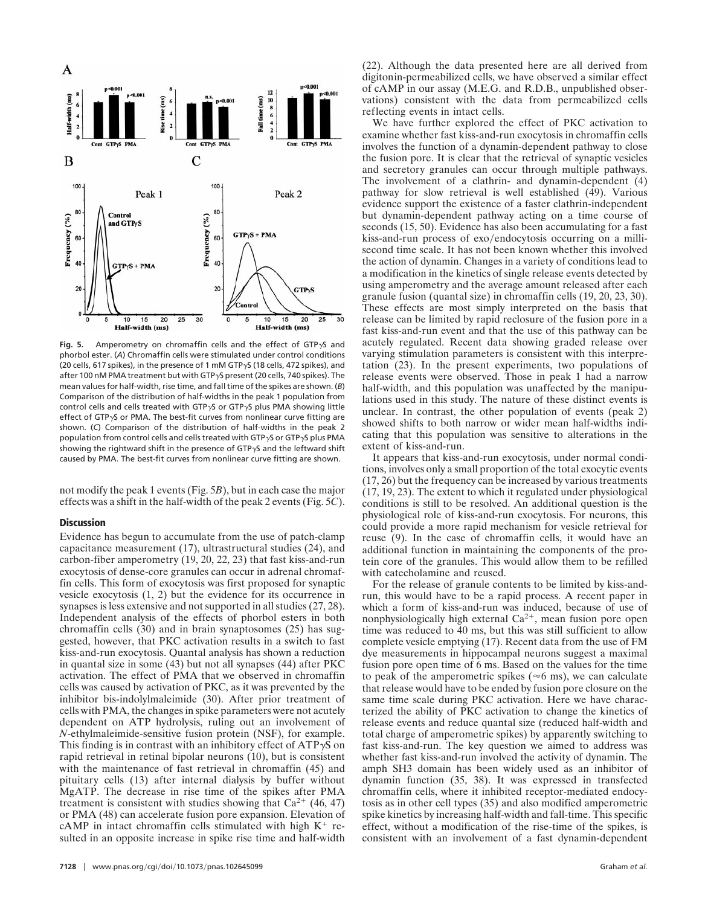

Fig. 5. Amperometry on chromaffin cells and the effect of GTP<sub>Y</sub>S and phorbol ester. (*A*) Chromaffin cells were stimulated under control conditions (20 cells, 617 spikes), in the presence of 1 mM GTP<sub>yS</sub> (18 cells, 472 spikes), and after 100 nM PMA treatment but with GTP<sub>y</sub>S present (20 cells, 740 spikes). The mean values for half-width, rise time, and fall time of the spikes are shown. (*B*) Comparison of the distribution of half-widths in the peak 1 population from control cells and cells treated with GTP $\gamma$ S or GTP $\gamma$ S plus PMA showing little effect of GTP $\gamma$ S or PMA. The best-fit curves from nonlinear curve fitting are shown. (*C*) Comparison of the distribution of half-widths in the peak 2 population from control cells and cells treated with GTP $\gamma$ S or GTP $\gamma$ S plus PMA showing the rightward shift in the presence of GTP $\gamma$ S and the leftward shift caused by PMA. The best-fit curves from nonlinear curve fitting are shown.

not modify the peak 1 events (Fig. 5*B*), but in each case the major effects was a shift in the half-width of the peak 2 events (Fig. 5*C*).

## **Discussion**

Evidence has begun to accumulate from the use of patch-clamp capacitance measurement (17), ultrastructural studies (24), and carbon-fiber amperometry (19, 20, 22, 23) that fast kiss-and-run exocytosis of dense-core granules can occur in adrenal chromaffin cells. This form of exocytosis was first proposed for synaptic vesicle exocytosis (1, 2) but the evidence for its occurrence in synapses is less extensive and not supported in all studies (27, 28). Independent analysis of the effects of phorbol esters in both chromaffin cells (30) and in brain synaptosomes (25) has suggested, however, that PKC activation results in a switch to fast kiss-and-run exocytosis. Quantal analysis has shown a reduction in quantal size in some (43) but not all synapses (44) after PKC activation. The effect of PMA that we observed in chromaffin cells was caused by activation of PKC, as it was prevented by the inhibitor bis-indolylmaleimide (30). After prior treatment of cells with PMA, the changes in spike parameters were not acutely dependent on ATP hydrolysis, ruling out an involvement of *N*-ethylmaleimide-sensitive fusion protein (NSF), for example. This finding is in contrast with an inhibitory effect of  $ATP\gamma S$  on rapid retrieval in retinal bipolar neurons (10), but is consistent with the maintenance of fast retrieval in chromaffin (45) and pituitary cells (13) after internal dialysis by buffer without MgATP. The decrease in rise time of the spikes after PMA treatment is consistent with studies showing that  $Ca^{2+}$  (46, 47) or PMA (48) can accelerate fusion pore expansion. Elevation of cAMP in intact chromaffin cells stimulated with high  $K^+$  resulted in an opposite increase in spike rise time and half-width

**7128** www.pnas.org/cgi/doi/10.1073/pnas.102645099 Graham *et al.* 

(22). Although the data presented here are all derived from digitonin-permeabilized cells, we have observed a similar effect of cAMP in our assay (M.E.G. and R.D.B., unpublished observations) consistent with the data from permeabilized cells reflecting events in intact cells.

We have further explored the effect of PKC activation to examine whether fast kiss-and-run exocytosis in chromaffin cells involves the function of a dynamin-dependent pathway to close the fusion pore. It is clear that the retrieval of synaptic vesicles and secretory granules can occur through multiple pathways. The involvement of a clathrin- and dynamin-dependent (4) pathway for slow retrieval is well established (49). Various evidence support the existence of a faster clathrin-independent but dynamin-dependent pathway acting on a time course of seconds (15, 50). Evidence has also been accumulating for a fast kiss-and-run process of exo/endocytosis occurring on a millisecond time scale. It has not been known whether this involved the action of dynamin. Changes in a variety of conditions lead to a modification in the kinetics of single release events detected by using amperometry and the average amount released after each granule fusion (quantal size) in chromaffin cells (19, 20, 23, 30). These effects are most simply interpreted on the basis that release can be limited by rapid reclosure of the fusion pore in a fast kiss-and-run event and that the use of this pathway can be acutely regulated. Recent data showing graded release over varying stimulation parameters is consistent with this interpretation (23). In the present experiments, two populations of release events were observed. Those in peak 1 had a narrow half-width, and this population was unaffected by the manipulations used in this study. The nature of these distinct events is unclear. In contrast, the other population of events (peak 2) showed shifts to both narrow or wider mean half-widths indicating that this population was sensitive to alterations in the extent of kiss-and-run.

It appears that kiss-and-run exocytosis, under normal conditions, involves only a small proportion of the total exocytic events (17, 26) but the frequency can be increased by various treatments (17, 19, 23). The extent to which it regulated under physiological conditions is still to be resolved. An additional question is the physiological role of kiss-and-run exocytosis. For neurons, this could provide a more rapid mechanism for vesicle retrieval for reuse (9). In the case of chromaffin cells, it would have an additional function in maintaining the components of the protein core of the granules. This would allow them to be refilled with catecholamine and reused.

For the release of granule contents to be limited by kiss-andrun, this would have to be a rapid process. A recent paper in which a form of kiss-and-run was induced, because of use of nonphysiologically high external  $Ca^{2+}$ , mean fusion pore open time was reduced to 40 ms, but this was still sufficient to allow complete vesicle emptying (17). Recent data from the use of FM dye measurements in hippocampal neurons suggest a maximal fusion pore open time of 6 ms. Based on the values for the time to peak of the amperometric spikes ( $\approx$ 6 ms), we can calculate that release would have to be ended by fusion pore closure on the same time scale during PKC activation. Here we have characterized the ability of PKC activation to change the kinetics of release events and reduce quantal size (reduced half-width and total charge of amperometric spikes) by apparently switching to fast kiss-and-run. The key question we aimed to address was whether fast kiss-and-run involved the activity of dynamin. The amph SH3 domain has been widely used as an inhibitor of dynamin function (35, 38). It was expressed in transfected chromaffin cells, where it inhibited receptor-mediated endocytosis as in other cell types (35) and also modified amperometric spike kinetics by increasing half-width and fall-time. This specific effect, without a modification of the rise-time of the spikes, is consistent with an involvement of a fast dynamin-dependent